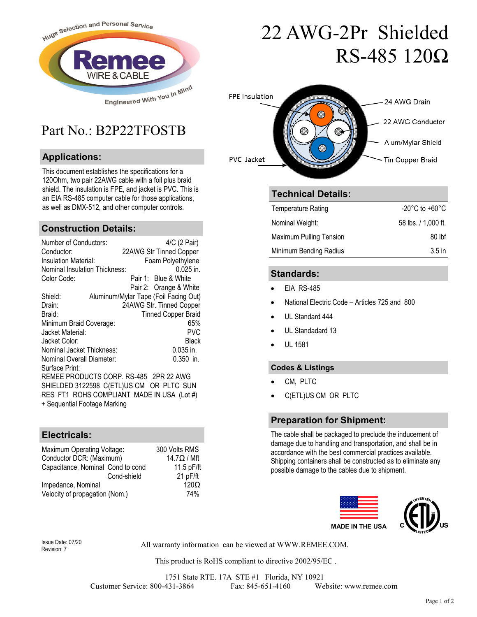

### Part No · B2P22TFOSTB

#### **Applications:**

This document establishes the specifications for a 120Ohm, two pair 22AWG cable with a foil plus braid shield. The insulation is FPE, and jacket is PVC. This is an EIA RS-485 computer cable for those applications, as well as DMX-512, and other computer controls.

#### **Construction Details:**

| Number of Conductors:<br>Conductor:<br>Insulation Material:<br><b>Nominal Insulation Thickness:</b> | 4/C (2 Pair)<br>22AWG Str Tinned Copper<br>Foam Polyethylene<br>0.025 in. |  |
|-----------------------------------------------------------------------------------------------------|---------------------------------------------------------------------------|--|
| Color Code:                                                                                         | Pair 1: Blue & White<br>Pair 2: Orange & White                            |  |
| Shield:                                                                                             | Aluminum/Mylar Tape (Foil Facing Out)                                     |  |
| Drain:<br>Braid:                                                                                    | 24AWG Str. Tinned Copper<br><b>Tinned Copper Braid</b>                    |  |
| Minimum Braid Coverage:                                                                             | 65%                                                                       |  |
| Jacket Material:                                                                                    | PVC                                                                       |  |
| Jacket Color:                                                                                       | Black                                                                     |  |
| Nominal Jacket Thickness:                                                                           | 0.035 in.                                                                 |  |
| Nominal Overall Diameter:                                                                           | $0.350$ in.                                                               |  |
| Surface Print:                                                                                      |                                                                           |  |
| REMEE PRODUCTS CORP. RS-485 2PR 22 AWG                                                              |                                                                           |  |
| SHIELDED 3122598 C(ETL)US CM OR PLTC SUN                                                            |                                                                           |  |
| RES FT1 ROHS COMPLIANT MADE IN USA (Lot #)<br>+ Sequential Footage Marking                          |                                                                           |  |

#### **Electricals:**

| Maximum Operating Voltage:        | 300 Volts RMS      |
|-----------------------------------|--------------------|
| Conductor DCR: (Maximum)          | $14.7\Omega / Mft$ |
| Capacitance, Nominal Cond to cond | 11.5 pF/ft         |
| Cond-shield                       | 21 pF/ft           |
| Impedance, Nominal                | 120 <sub>O</sub>   |
| Velocity of propagation (Nom.)    | 74%                |

# 22 AWG-2Pr Shielded RS-485 120Ω



#### **Technical Details:**

| <b>Temperature Rating</b> | -20°C to +60°C      |
|---------------------------|---------------------|
| Nominal Weight:           | 58 lbs. / 1.000 ft. |
| Maximum Pulling Tension   | 80 lbf              |
| Minimum Bending Radius    | 3.5 <sub>in</sub>   |

#### **Standards:**

- EIA RS-485
- National Electric Code Articles 725 and 800
- UL Standard 444
- UL Standadard 13
- UL 1581

#### **Codes & Listings**

- CM, PLTC
- C(ETL)US CM OR PLTC

#### **Preparation for Shipment:**

The cable shall be packaged to preclude the inducement of damage due to handling and transportation, and shall be in accordance with the best commercial practices available. Shipping containers shall be constructed as to eliminate any possible damage to the cables due to shipment.



Revision: 7

All warranty information can be viewed at WWW.REMEE.COM. Issue Date: 07/20

This product is RoHS compliant to directive 2002/95/EC .

1751 State RTE. 17A STE #1 Florida, NY 10921 Customer Service: 800-431-3864 Fax: 845-651-4160 Website: www.remee.com